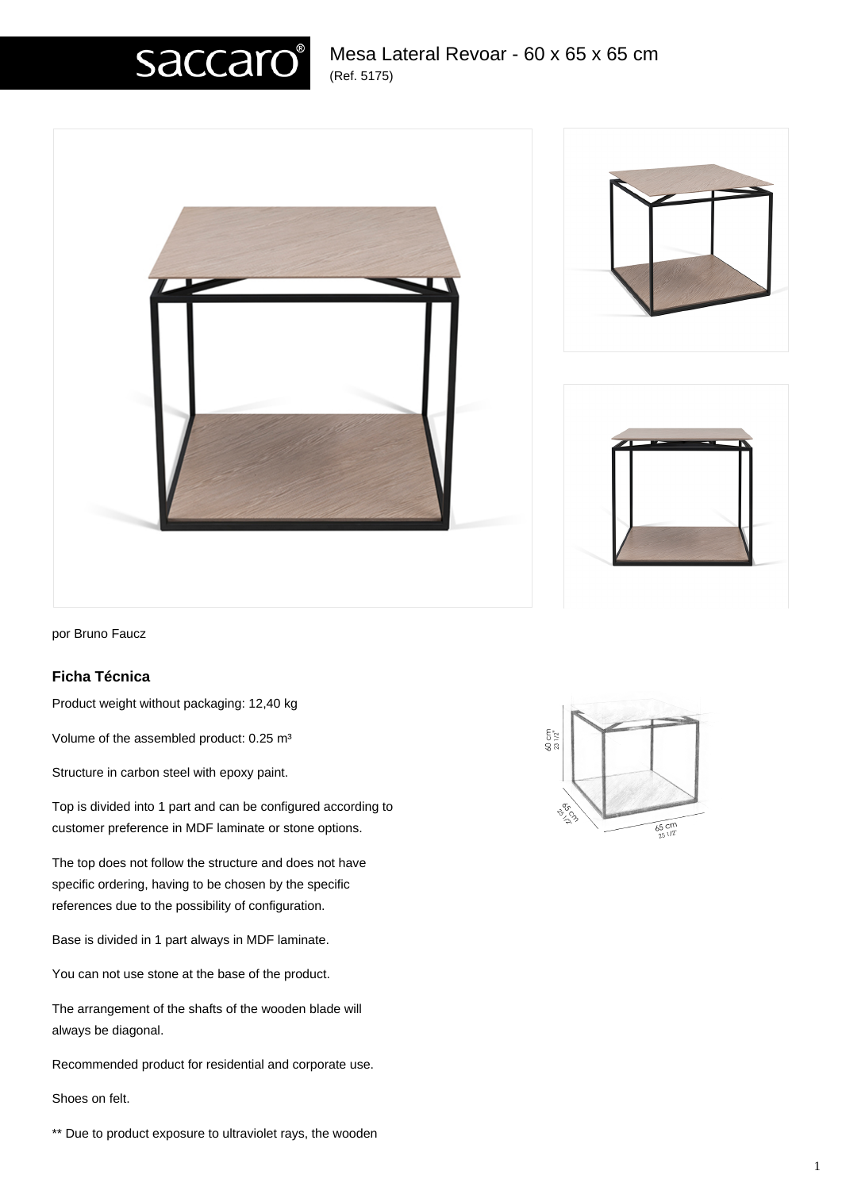# Mesa Lateral Revoar - 60 x 65 x 65 cm (Ref. 5175)









por Bruno Faucz

### **Ficha Técnica**

Product weight without packaging: 12,40 kg

Volume of the assembled product: 0.25 m<sup>3</sup>

Structure in carbon steel with epoxy paint.

Top is divided into 1 part and can be configured according to customer preference in MDF laminate or stone options.

The top does not follow the structure and does not have specific ordering, having to be chosen by the specific references due to the possibility of configuration.

Base is divided in 1 part always in MDF laminate.

You can not use stone at the base of the product.

The arrangement of the shafts of the wooden blade will always be diagonal.

Recommended product for residential and corporate use.

Shoes on felt.

\*\* Due to product exposure to ultraviolet rays, the wooden